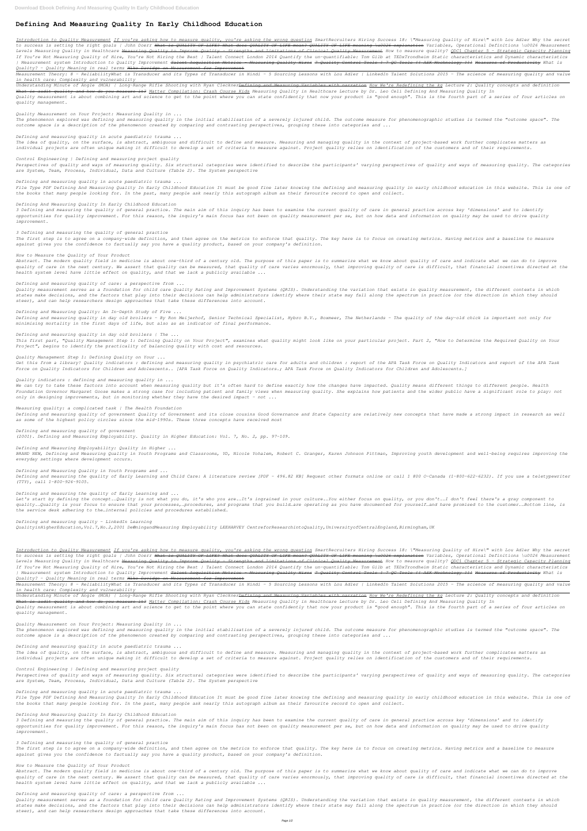# **Defining And Measuring Quality In Early Childhood Education**

Introduction to Quality Measurement If you're asking how to measure quality, you're asking the wrong question SmartRecruiters Hiring Success 18: \"Measuring Quality of Hire\" with Lou Adler Why the secret *to success is setting the right goals | John Doerr What is QUALITY OF LIFE? What does QUALITY OF LIFE mean? QUALITY OF LIFE meaning \u0026 explanation Variables, Operational Definitions \u0026 Measurement* Levels Measuring Quality in Healthcare <del>Measuring Quality to Improve Quality - Strengths and Limitations of Clinical Quality Measurement</del> How to measure quality? ODC1 Chapter 5 - Strategic Capacity Planning *If You're Not Measuring Quality of Hire, You're Not Hiring the Best | Talent Connect London 2014 Quantify the un-quantifiable: Tom Gilb at TEDxTrondheim Static characteristics and Dynamic characteristics* | Measurement system Introduction to Quality Improvement <del>Talent Acquisition Metrics - Measuring Quality Hires 7 Quality Control Tools ! 7 QC Tools !! ASK Mechnology !!! Measures of Productivity What is</del> *Quality? - Quality Meaning in real terms Mike Davidge on Measurement for Improvement*

Measurement Theory: 8 - ReliabilityWhat is Transducer and its Types of Transducer in Hindi - 5 Sourcing Lessons with Lou Adler | LinkedIn Talent Solutions 2015 - The science of measuring quality and value *in health care: Complexity and vulnerability*

*Understanding Minute of Angle (MOA) | Long-Range Rifle Shooting with Ryan ClecknerDefining and Measuring Variables with narration How We're Redefining the kg Lecture 2: Quality concepts and definition What is audit quality and how do you measure it? Matter Compilation: Crash Course Kids Measuring Quality in Healthcare Lecture by Dr. Leo Celi Defining And Measuring Quality In Quality measurement is about combining art and science to get to the point where you can state confidently that now your product is "good enough". This is the fourth part of a series of four articles on quality management.*

*Quality Measurement on Your Project: Measuring Quality in ...*

*The phenomenon explored was defining and measuring quality in the initial stabilisation of a severely injured child. The outcome measure for phenomenographic studies is termed the "outcome space". The outcome space is a description of the phenomenon created by comparing and contrasting perspectives, grouping these into categories and ...*

*Defining and measuring quality in acute paediatric trauma ...*

*The idea of quality, on the surface, is abstract, ambiguous and difficult to define and measure. Measuring and managing quality in the context of project-based work further complicates matters as individual projects are often unique making it difficult to develop a set of criteria to measure against. Project quality relies on identification of the customers and of their requirements.*

#### *Control Engineering | Defining and measuring project quality*

*Perspectives of quality and ways of measuring quality. Six structural categories were identified to describe the participants' varying perspectives of quality and ways of measuring quality. The categories are System, Team, Process, Individual, Data and Culture (Table 2). The System perspective*

*Defining and measuring quality in acute paediatric trauma ...*

*File Type PDF Defining And Measuring Quality In Early Childhood Education It must be good fine later knowing the defining and measuring quality in early childhood education in this website. This is one of the books that many people looking for. In the past, many people ask nearly this autograph album as their favourite record to open and collect.*

#### *Defining And Measuring Quality In Early Childhood Education*

*3 Defining and measuring the quality of general practice. The main aim of this inquiry has been to examine the current quality of care in general practice across key 'dimensions' and to identify opportunities for quality improvement. For this reason, the inquiry's main focus has not been on quality measurement per se, but on how data and information on quality may be used to drive quality improvement.*

#### *3 Defining and measuring the quality of general practice*

*The first step is to agree on a company-wide definition, and then agree on the metrics to enforce that quality. The key here is to focus on creating metrics. Having metrics and a baseline to measure against gives you the confidence to factually say you have a quality product, based on your company's definition.*

#### *How to Measure the Quality of Your Product*

*Abstract. The modern quality field in medicine is about one-third of a century old. The purpose of this paper is to summarize what we know about quality of care and indicate what we can do to improve quality of care in the next century. We assert that quality can be measured, that quality of care varies enormously, that improving quality of care is difficult, that financial incentives directed at the health system level have little effect on quality, and that we lack a publicly available ...*

*Defining and measuring quality of care: a perspective from ...*

Introduction to Quality Measurement If you're asking how to measure quality, you're asking the wrong question SmartRecruiters Hiring Success 18: \"Measuring Quality of Hire\" with Lou Adler Why the secret *to success is setting the right goals | John Doerr What is QUALITY OF LIFE? What does QUALITY OF LIFE mean? QUALITY OF LIFE meaning \u0026 explanation Variables, Operational Definitions \u0026 Measurement* Levels Measuring Quality in Healthcare <del>Measuring Quality to Improve Quality - Strengths and Limitations of Clinical Quality Measurement</del> How to measure quality? ODC1 Chapter 5 - Strategic Capacity Planning *If You're Not Measuring Quality of Hire, You're Not Hiring the Best | Talent Connect London 2014 Quantify the un-quantifiable: Tom Gilb at TEDxTrondheim Static characteristics and Dynamic characteristics* | Measurement system Introduction to Quality Improvement <del>Talent Acquisition Metrics - Measuring Quality Hires 7 Quality Control Tools ! 7 QC Tools !! ASK Mechnology !!! Measures of Productivity What is</del> *Quality? - Quality Meaning in real terms Mike Davidge on Measurement for Improvement*

Measurement Theory: 8 - ReliabilityWhat is Transducer and its Types of Transducer in Hindi - 5 Sourcing Lessons with Lou Adler | LinkedIn Talent Solutions 2015 - The science of measuring quality and value *in health care: Complexity and vulnerability*

*Quality measurement serves as a foundation for child care Quality Rating and Improvement Systems (QRIS). Understanding the variation that exists in quality measurement, the different contexts in which states make decisions, and the factors that play into their decisions can help administrators identify where their state may fall along the spectrum in practice (or the direction in which they should steer), and can help researchers design approaches that take these differences into account.*

*Defining and Measuring Quality: An In-Depth Study of Five ...*

*Defining and measuring quality in day old broilers - By Ron Meijerhof, Senior Technical Specialist, Hybro B.V., Boxmeer, The Netherlands - The quality of the day-old chick is important not only for minimising mortality in the first days of life, but also as an indicator of final performance.*

#### *Defining and measuring quality in day old broilers | The ...*

*This first part, "Quality Management Step 1: Defining Quality on Your Project", examines what quality might look like on your particular project. Part 2, "How to Determine the Required Quality on Your Project", begins to identify the practicality of balancing quality with cost and resources.*

#### *Quality Management Step 1: Defining Quality on Your ...*

*Get this from a library! Quality indicators : defining and measuring quality in psychiatric care for adults and children : report of the APA Task Force on Quality Indicators and report of the APA Task Force on Quality Indicators for Children and Adolescents.. [APA Task Force on Quality Indicators.; APA Task Force on Quality Indicators for Children and Adolescents.]*

#### *Quality indicators : defining and measuring quality in ...*

*We can try to take these factors into account when measuring quality but it's often hard to define exactly how the changes have impacted. Quality means different things to different people. Health Foundation Governor Margaret Goose makes a strong case for including patient and family views when measuring quality. She explains how patients and the wider public have a significant role to play: not only in designing improvements, but in monitoring whether they have the desired impact – not ...*

#### *Measuring quality: a complicated task | The Health Foundation*

*Defining and measuring quality of government Quality of Government and its close cousins Good Governance and State Capacity are relatively new concepts that have made a strong impact in research as well as some of the highest policy circles since the mid-1990s. These three concepts have received most*

*Defining and measuring quality of government (2001). Defining and Measuring Employability. Quality in Higher Education: Vol. 7, No. 2, pp. 97-109.*

#### *Defining and Measuring Employability: Quality in Higher ...*

*BRAND NEW, Defining and Measuring Quality in Youth Programs and Classrooms, YD, Nicole Yohalem, Robert C. Granger, Karen Johnson Pittman, Improving youth development and well-being requires improving the everyday settings where development occurs.*

#### *Defining and Measuring Quality in Youth Programs and ...*

*Defining and measuring the quality of Early Learning and Child Care: A literature review [PDF - 496.82 KB] Request other formats online or call 1 800 O-Canada (1-800-622-6232). If you use a teletypewriter (TTY), call 1-800-926-9105.*

#### *Defining and measuring the quality of Early Learning and ...*

*Let's start by defining the concept.…Quality is not what you do, it's who you are.…It's ingrained in your culture.…You either focus on quality, or you don't.…I don't feel there's a gray component to quality.…Quality is your focus to ensure that your processes,…procedures, and programs that you build…are operating as you have documented for yourself…and have promised to the customer.…Bottom line, is the service desk adhering to the…internal policies and procedures established…*

*Defining and measuring quality - LinkedIn Learning QualityinHigherEducation,Vol.7,No.2,2001 De®ningandMeasuring Employability LEEHARVEY CentreforResearchintoQuality,UniversityofCentralEngland,Birmingham,UK*

*Understanding Minute of Angle (MOA) | Long-Range Rifle Shooting with Ryan ClecknerDefining and Measuring Variables with narration How We're Redefining the kg Lecture 2: Quality concepts and definition What is audit quality and how do you measure it? Matter Compilation: Crash Course Kids Measuring Quality in Healthcare Lecture by Dr. Leo Celi Defining And Measuring Quality In Quality measurement is about combining art and science to get to the point where you can state confidently that now your product is "good enough". This is the fourth part of a series of four articles on quality management.*

*Quality Measurement on Your Project: Measuring Quality in ...*

*The phenomenon explored was defining and measuring quality in the initial stabilisation of a severely injured child. The outcome measure for phenomenographic studies is termed the "outcome space". The outcome space is a description of the phenomenon created by comparing and contrasting perspectives, grouping these into categories and ...*

#### *Defining and measuring quality in acute paediatric trauma ...*

*The idea of quality, on the surface, is abstract, ambiguous and difficult to define and measure. Measuring and managing quality in the context of project-based work further complicates matters as individual projects are often unique making it difficult to develop a set of criteria to measure against. Project quality relies on identification of the customers and of their requirements.*

#### *Control Engineering | Defining and measuring project quality*

*Perspectives of quality and ways of measuring quality. Six structural categories were identified to describe the participants' varying perspectives of quality and ways of measuring quality. The categories are System, Team, Process, Individual, Data and Culture (Table 2). The System perspective*

#### *Defining and measuring quality in acute paediatric trauma ...*

*File Type PDF Defining And Measuring Quality In Early Childhood Education It must be good fine later knowing the defining and measuring quality in early childhood education in this website. This is one of the books that many people looking for. In the past, many people ask nearly this autograph album as their favourite record to open and collect.*

#### *Defining And Measuring Quality In Early Childhood Education*

*3 Defining and measuring the quality of general practice. The main aim of this inquiry has been to examine the current quality of care in general practice across key 'dimensions' and to identify opportunities for quality improvement. For this reason, the inquiry's main focus has not been on quality measurement per se, but on how data and information on quality may be used to drive quality improvement.*

## *3 Defining and measuring the quality of general practice*

*The first step is to agree on a company-wide definition, and then agree on the metrics to enforce that quality. The key here is to focus on creating metrics. Having metrics and a baseline to measure against gives you the confidence to factually say you have a quality product, based on your company's definition.*

#### *How to Measure the Quality of Your Product*

*Abstract. The modern quality field in medicine is about one-third of a century old. The purpose of this paper is to summarize what we know about quality of care and indicate what we can do to improve quality of care in the next century. We assert that quality can be measured, that quality of care varies enormously, that improving quality of care is difficult, that financial incentives directed at the health system level have little effect on quality, and that we lack a publicly available ...*

#### *Defining and measuring quality of care: a perspective from ...*

*Quality measurement serves as a foundation for child care Quality Rating and Improvement Systems (QRIS). Understanding the variation that exists in quality measurement, the different contexts in which states make decisions, and the factors that play into their decisions can help administrators identify where their state may fall along the spectrum in practice (or the direction in which they should steer), and can help researchers design approaches that take these differences into account.*